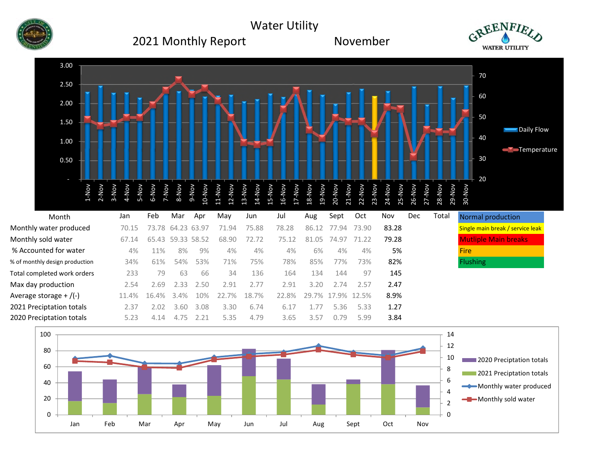